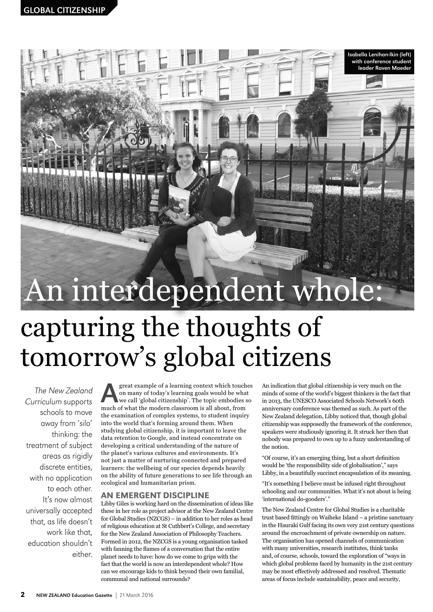# An interdependent whole:

## capturing the thoughts of tomorrow's global citizens

The New Zealand Curriculum supports schools to move away from 'silo' thinking: the treatment of subject areas as rigidly discrete entities, with no application to each other. It's now almost universally accepted that, as life doesn't work like that, education shouldn't either.

great example of a learning context which touches on many of today's learning goals would be what we call 'global citizenship'. The topic embodies so much of what the modern classroom is all about, from the examination of complex systems, to student inquiry into the world that's forming around them. When studying global citizenship, it is important to leave the data retention to Google, and instead concentrate on developing a critical understanding of the nature of the planet's various cultures and environments. It's not just a matter of nurturing connected and prepared learners: the wellbeing of our species depends heavily on the ability of future generations to see life through an ecological and humanitarian prism.

#### An emergent discipline

Libby Giles is working hard on the dissemination of ideas like these in her role as project advisor at the New Zealand Centre for Global Studies (NZCGS) – in addition to her roles as head of religious education at St Cuthbert's College, and secretary for the New Zealand Association of Philosophy Teachers. Formed in 2012, the NZCGS is a young organisation tasked with fanning the flames of a conversation that the entire planet needs to have: how do we come to grips with the fact that the world is now an interdependent whole? How can we encourage kids to think beyond their own familial, communal and national surrounds?

An indication that global citizenship is very much on the minds of some of the world's biggest thinkers is the fact that in 2013, the UNESCO Associated Schools Network's 60th anniversary conference was themed as such. As part of the New Zealand delegation, Libby noticed that, though global citizenship was supposedly the framework of the conference, speakers were studiously ignoring it. It struck her then that nobody was prepared to own up to a fuzzy understanding of the notion.

Isabella Lenihan-Ikin (left) with conference student leader Raven Maeder

"Of course, it's an emerging thing, but a short definition would be 'the responsibility side of globalisation'," says Libby, in a beautifully succinct encapsulation of its meaning.

"It's something I believe must be infused right throughout schooling and our communities. What it's not about is being 'international do-gooders'."

The New Zealand Centre for Global Studies is a charitable trust based fittingly on Waiheke Island – a pristine sanctuary in the Hauraki Gulf facing its own very 21st century questions around the encroachment of private ownership on nature. The organisation has opened channels of communication with many universities, research institutes, think tanks and, of course, schools, toward the exploration of "ways in which global problems faced by humanity in the 21st century may be most effectively addressed and resolved. Thematic areas of focus include sustainability, peace and security,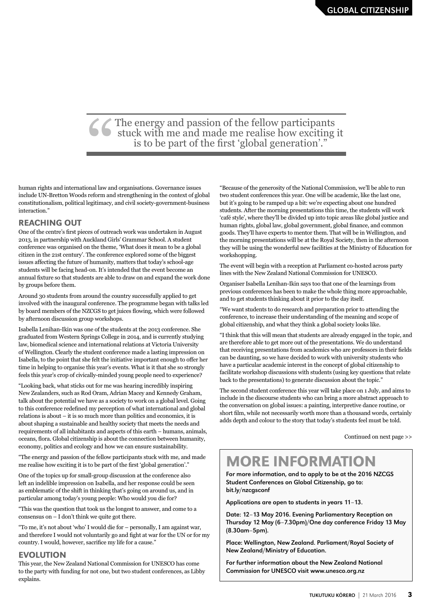## CCThe energy and passion of the fellow participants<br>stuck with me and made me realise how exciting<br>is to be part of the first 'global generation'." stuck with me and made me realise how exciting it is to be part of the first 'global generation'."

human rights and international law and organisations. Governance issues include UN-Bretton Woods reform and strengthening in the context of global constitutionalism, political legitimacy, and civil society-government-business interaction."

#### **REACHING OUT**

One of the centre's first pieces of outreach work was undertaken in August 2013, in partnership with Auckland Girls' Grammar School. A student conference was organised on the theme, 'What does it mean to be a global citizen in the 21st century'. The conference explored some of the biggest issues affecting the future of humanity, matters that today's school-age students will be facing head-on. It's intended that the event become an annual fixture so that students are able to draw on and expand the work done by groups before them.

Around 30 students from around the country successfully applied to get involved with the inaugural conference. The programme began with talks led by board members of the NZCGS to get juices flowing, which were followed by afternoon discussion group workshops.

Isabella Lenihan-Ikin was one of the students at the 2013 conference. She graduated from Western Springs College in 2014, and is currently studying law, biomedical science and international relations at Victoria University of Wellington. Clearly the student conference made a lasting impression on Isabella, to the point that she felt the initiative important enough to offer her time in helping to organise this year's events. What is it that she so strongly feels this year's crop of civically-minded young people need to experience?

"Looking back, what sticks out for me was hearing incredibly inspiring New Zealanders, such as Rod Oram, Adrian Macey and Kennedy Graham, talk about the potential we have as a society to work on a global level. Going to this conference redefined my perception of what international and global relations is about – it is so much more than politics and economics, it is about shaping a sustainable and healthy society that meets the needs and requirements of all inhabitants and aspects of this earth – humans, animals, oceans, flora. Global citizenship is about the connection between humanity, economy, politics and ecology and how we can ensure sustainability.

"The energy and passion of the fellow participants stuck with me, and made me realise how exciting it is to be part of the first 'global generation'."

One of the topics up for small-group discussion at the conference also left an indelible impression on Isabella, and her response could be seen as emblematic of the shift in thinking that's going on around us, and in particular among today's young people: Who would you die for?

"This was the question that took us the longest to answer, and come to a consensus on – I don't think we quite got there.

"To me, it's not about 'who' I would die for – personally, I am against war, and therefore I would not voluntarily go and fight at war for the UN or for my country. I would, however, sacrifice my life for a cause."

#### **EVOLUTION**

This year, the New Zealand National Commission for UNESCO has come to the party with funding for not one, but two student conferences, as Libby explains.

"Because of the generosity of the National Commission, we'll be able to run two student conferences this year. One will be academic, like the last one, but it's going to be ramped up a bit: we're expecting about one hundred students. After the morning presentations this time, the students will work 'café style', where they'll be divided up into topic areas like global justice and human rights, global law, global government, global finance, and common goods. They'll have experts to mentor them. That will be in Wellington, and the morning presentations will be at the Royal Society, then in the afternoon they will be using the wonderful new facilities at the Ministry of Education for workshopping.

The event will begin with a reception at Parliament co-hosted across party lines with the New Zealand National Commission for UNESCO.

Organiser Isabella Lenihan-Ikin says too that one of the learnings from previous conferences has been to make the whole thing more approachable, and to get students thinking about it prior to the day itself.

"We want students to do research and preparation prior to attending the conference, to increase their understanding of the meaning and scope of global citizenship, and what they think a global society looks like.

"I think that this will mean that students are already engaged in the topic, and are therefore able to get more out of the presentations. We do understand that receiving presentations from academics who are professors in their fields can be daunting, so we have decided to work with university students who have a particular academic interest in the concept of global citizenship to facilitate workshop discussions with students (using key questions that relate back to the presentations) to generate discussion about the topic."

The second student conference this year will take place on 1 July, and aims to include in the discourse students who can bring a more abstract approach to the conversation on global issues: a painting, interpretive dance routine, or short film, while not necessarily worth more than a thousand words, certainly adds depth and colour to the story that today's students feel must be told.

Continued on next page >>

### More information

For more information, and to apply to be at the 2016 NZCGS Student Conferences on Global Citizenship, go to: bit.ly/nzcgsconf

Applications are open to students in years 11–13.

Date: 12–13 May 2016. Evening Parliamentary Reception on Thursday 12 May (6–7.30pm)/One day conference Friday 13 May (8.30am–5pm).

Place: Wellington, New Zealand. Parliament/Royal Society of New Zealand/Ministry of Education.

For further information about the New Zealand National Commission for UNESCO visit www.unesco.org.nz